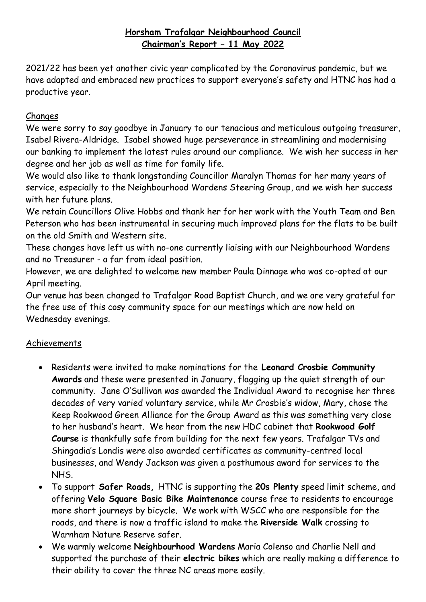## **Horsham Trafalgar Neighbourhood Council Chairman's Report – 11 May 2022**

2021/22 has been yet another civic year complicated by the Coronavirus pandemic, but we have adapted and embraced new practices to support everyone's safety and HTNC has had a productive year.

## Changes

We were sorry to say goodbye in January to our tenacious and meticulous outgoing treasurer, Isabel Rivera-Aldridge. Isabel showed huge perseverance in streamlining and modernising our banking to implement the latest rules around our compliance. We wish her success in her degree and her job as well as time for family life.

We would also like to thank longstanding Councillor Maralyn Thomas for her many years of service, especially to the Neighbourhood Wardens Steering Group, and we wish her success with her future plans.

We retain Councillors Olive Hobbs and thank her for her work with the Youth Team and Ben Peterson who has been instrumental in securing much improved plans for the flats to be built on the old Smith and Western site.

These changes have left us with no-one currently liaising with our Neighbourhood Wardens and no Treasurer - a far from ideal position.

However, we are delighted to welcome new member Paula Dinnage who was co-opted at our April meeting.

Our venue has been changed to Trafalgar Road Baptist Church, and we are very grateful for the free use of this cosy community space for our meetings which are now held on Wednesday evenings.

## Achievements

- Residents were invited to make nominations for the **Leonard Crosbie Community Awards** and these were presented in January, flagging up the quiet strength of our community. Jane O'Sullivan was awarded the Individual Award to recognise her three decades of very varied voluntary service, while Mr Crosbie's widow, Mary, chose the Keep Rookwood Green Alliance for the Group Award as this was something very close to her husband's heart. We hear from the new HDC cabinet that **Rookwood Golf Course** is thankfully safe from building for the next few years. Trafalgar TVs and Shingadia's Londis were also awarded certificates as community-centred local businesses, and Wendy Jackson was given a posthumous award for services to the NHS.
- To support **Safer Roads,** HTNC is supporting the **20s Plenty** speed limit scheme, and offering **Velo Square Basic Bike Maintenance** course free to residents to encourage more short journeys by bicycle. We work with WSCC who are responsible for the roads, and there is now a traffic island to make the **Riverside Walk** crossing to Warnham Nature Reserve safer.
- We warmly welcome **Neighbourhood Wardens** Maria Colenso and Charlie Nell and supported the purchase of their **electric bikes** which are really making a difference to their ability to cover the three NC areas more easily.